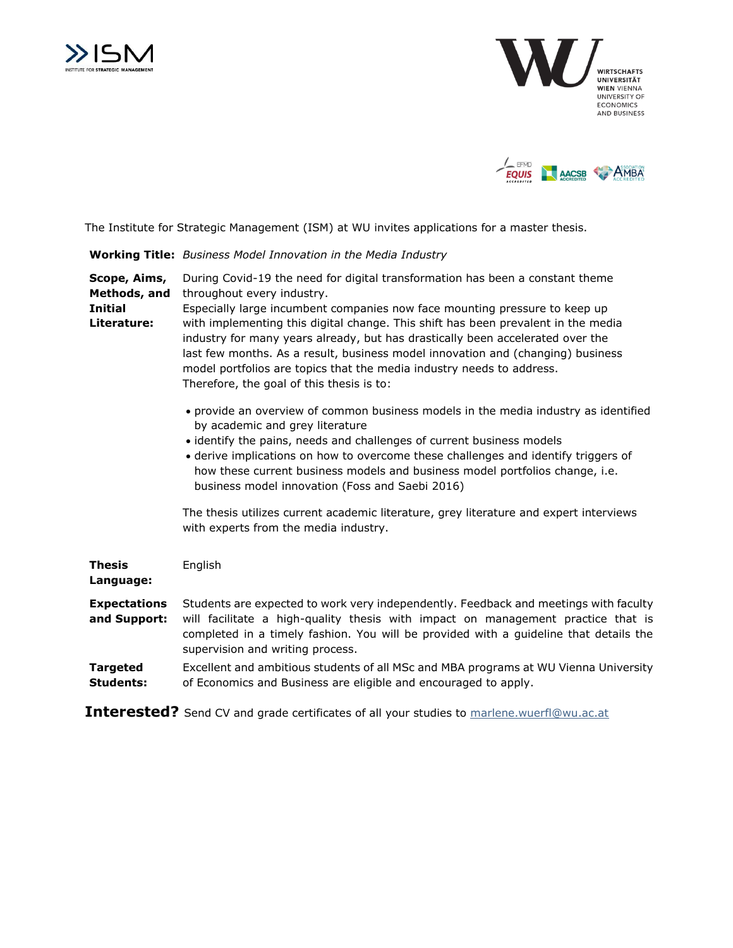





The Institute for Strategic Management (ISM) at WU invites applications for a master thesis.

**Working Title:** *Business Model Innovation in the Media Industry*

**Scope, Aims, Methods, and Initial**  During Covid-19 the need for digital transformation has been a constant theme throughout every industry.

**Literature:**

Especially large incumbent companies now face mounting pressure to keep up with implementing this digital change. This shift has been prevalent in the media industry for many years already, but has drastically been accelerated over the last few months. As a result, business model innovation and (changing) business model portfolios are topics that the media industry needs to address. Therefore, the goal of this thesis is to:

- provide an overview of common business models in the media industry as identified by academic and grey literature
- identify the pains, needs and challenges of current business models
- derive implications on how to overcome these challenges and identify triggers of how these current business models and business model portfolios change, i.e. business model innovation (Foss and Saebi 2016)

The thesis utilizes current academic literature, grey literature and expert interviews with experts from the media industry.

| <b>Thesis</b><br>Language:          | English                                                                                                                                                                                                                                                                                               |
|-------------------------------------|-------------------------------------------------------------------------------------------------------------------------------------------------------------------------------------------------------------------------------------------------------------------------------------------------------|
| <b>Expectations</b><br>and Support: | Students are expected to work very independently. Feedback and meetings with faculty<br>will facilitate a high-quality thesis with impact on management practice that is<br>completed in a timely fashion. You will be provided with a quideline that details the<br>supervision and writing process. |
| <b>Targeted</b><br><b>Students:</b> | Excellent and ambitious students of all MSc and MBA programs at WU Vienna University<br>of Economics and Business are eligible and encouraged to apply.                                                                                                                                               |

**Interested?** Send CV and grade certificates of all your studies to [marlene.wuerfl@wu.ac.at](mailto:marlene.wuerfl@wu.ac.at)